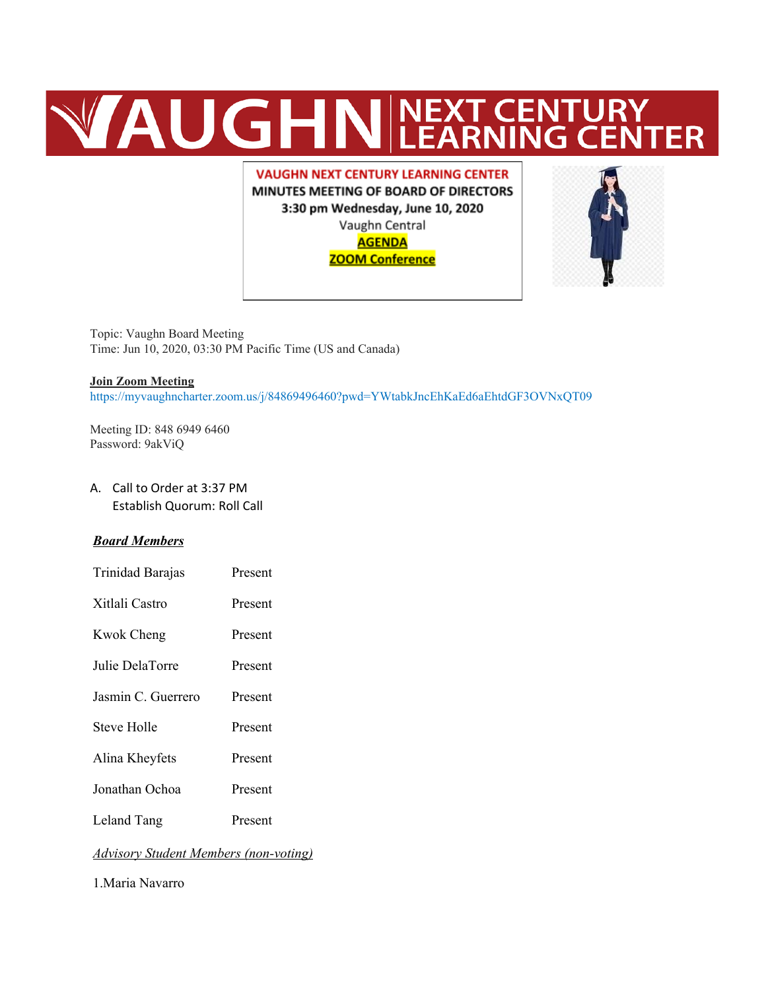# **WAUGHNEXT CENTURY**

**VAUGHN NEXT CENTURY LEARNING CENTER** MINUTES MEETING OF BOARD OF DIRECTORS 3:30 pm Wednesday, June 10, 2020 Vaughn Central **AGENDA ZOOM Conference** 



Topic: Vaughn Board Meeting Time: Jun 10, 2020, 03:30 PM Pacific Time (US and Canada)

#### **Join Zoom Meeting**

https://myvaughncharter.zoom.us/j/84869496460?pwd=YWtabkJncEhKaEd6aEhtdGF3OVNxQT09

Meeting ID: 848 6949 6460 Password: 9akViQ

A. Call to Order at 3:37 PM Establish Quorum: Roll Call

#### *Board Members*

Trinidad Barajas Present Xitlali Castro Present Kwok Cheng Present Julie DelaTorre Present Jasmin C. Guerrero Present Steve Holle Present Alina Kheyfets Present Jonathan Ochoa Present Leland Tang Present

#### *Advisory Student Members (non-voting)*

1.Maria Navarro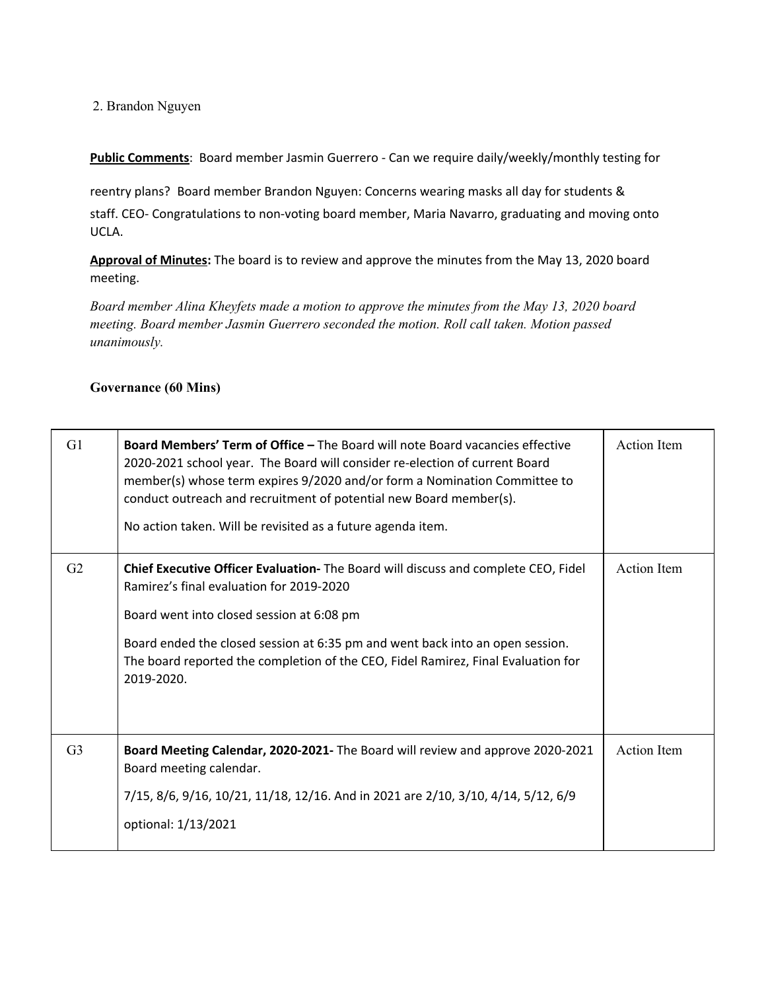#### 2. Brandon Nguyen

**Public Comments**: Board member Jasmin Guerrero - Can we require daily/weekly/monthly testing for

reentry plans? Board member Brandon Nguyen: Concerns wearing masks all day for students &

staff. CEO- Congratulations to non-voting board member, Maria Navarro, graduating and moving onto UCLA.

**Approval of Minutes:** The board is to review and approve the minutes from the May 13, 2020 board meeting.

*Board member Alina Kheyfets made a motion to approve the minutes from the May 13, 2020 board meeting. Board member Jasmin Guerrero seconded the motion. Roll call taken. Motion passed unanimously.*

#### **Governance (60 Mins)**

| G1             | Board Members' Term of Office - The Board will note Board vacancies effective<br>2020-2021 school year. The Board will consider re-election of current Board<br>member(s) whose term expires 9/2020 and/or form a Nomination Committee to<br>conduct outreach and recruitment of potential new Board member(s).<br>No action taken. Will be revisited as a future agenda item. |                    |
|----------------|--------------------------------------------------------------------------------------------------------------------------------------------------------------------------------------------------------------------------------------------------------------------------------------------------------------------------------------------------------------------------------|--------------------|
| G <sub>2</sub> | Chief Executive Officer Evaluation- The Board will discuss and complete CEO, Fidel<br>Ramirez's final evaluation for 2019-2020<br>Board went into closed session at 6:08 pm<br>Board ended the closed session at 6:35 pm and went back into an open session.<br>The board reported the completion of the CEO, Fidel Ramirez, Final Evaluation for<br>2019-2020.                | Action Item        |
| G <sub>3</sub> | Board Meeting Calendar, 2020-2021- The Board will review and approve 2020-2021<br>Board meeting calendar.<br>7/15, 8/6, 9/16, 10/21, 11/18, 12/16. And in 2021 are 2/10, 3/10, 4/14, 5/12, 6/9<br>optional: 1/13/2021                                                                                                                                                          | <b>Action</b> Item |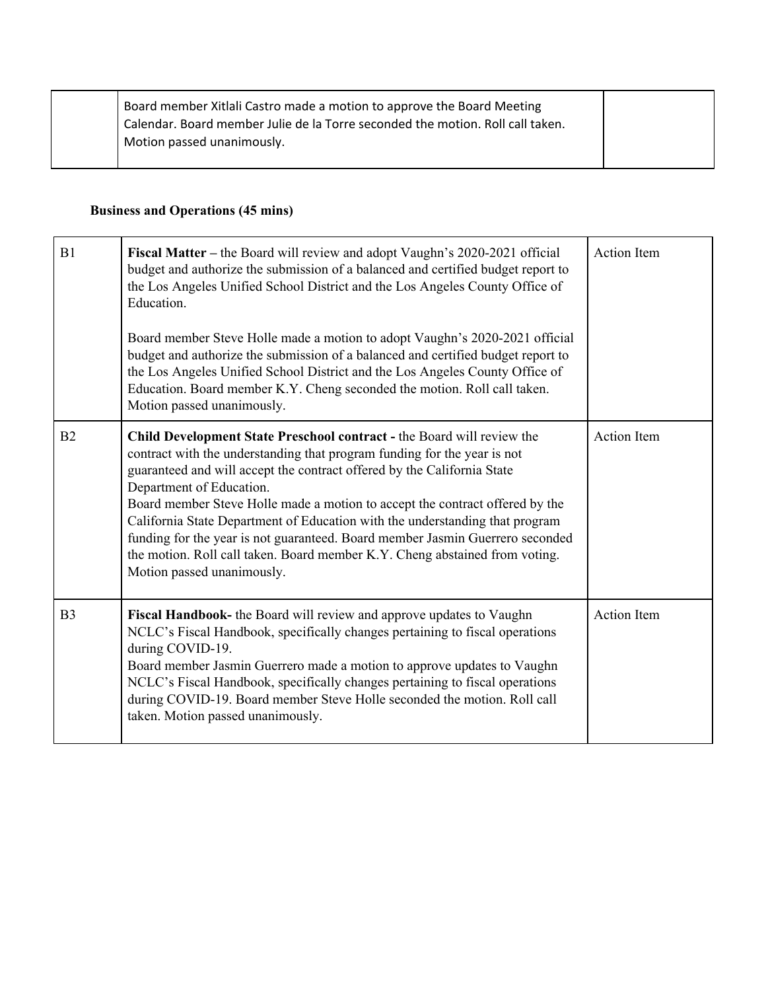|  | Board member Xitlali Castro made a motion to approve the Board Meeting         |
|--|--------------------------------------------------------------------------------|
|  | Calendar. Board member Julie de la Torre seconded the motion. Roll call taken. |
|  | Motion passed unanimously.                                                     |
|  |                                                                                |

## **Business and Operations (45 mins)**

| B1             | Fiscal Matter - the Board will review and adopt Vaughn's 2020-2021 official<br>budget and authorize the submission of a balanced and certified budget report to<br>the Los Angeles Unified School District and the Los Angeles County Office of<br>Education.<br>Board member Steve Holle made a motion to adopt Vaughn's 2020-2021 official<br>budget and authorize the submission of a balanced and certified budget report to<br>the Los Angeles Unified School District and the Los Angeles County Office of<br>Education. Board member K.Y. Cheng seconded the motion. Roll call taken.<br>Motion passed unanimously. | <b>Action</b> Item |
|----------------|----------------------------------------------------------------------------------------------------------------------------------------------------------------------------------------------------------------------------------------------------------------------------------------------------------------------------------------------------------------------------------------------------------------------------------------------------------------------------------------------------------------------------------------------------------------------------------------------------------------------------|--------------------|
| B <sub>2</sub> | Child Development State Preschool contract - the Board will review the<br>contract with the understanding that program funding for the year is not<br>guaranteed and will accept the contract offered by the California State<br>Department of Education.<br>Board member Steve Holle made a motion to accept the contract offered by the<br>California State Department of Education with the understanding that program<br>funding for the year is not guaranteed. Board member Jasmin Guerrero seconded<br>the motion. Roll call taken. Board member K.Y. Cheng abstained from voting.<br>Motion passed unanimously.    | <b>Action Item</b> |
| B <sub>3</sub> | Fiscal Handbook- the Board will review and approve updates to Vaughn<br>NCLC's Fiscal Handbook, specifically changes pertaining to fiscal operations<br>during COVID-19.<br>Board member Jasmin Guerrero made a motion to approve updates to Vaughn<br>NCLC's Fiscal Handbook, specifically changes pertaining to fiscal operations<br>during COVID-19. Board member Steve Holle seconded the motion. Roll call<br>taken. Motion passed unanimously.                                                                                                                                                                       | <b>Action Item</b> |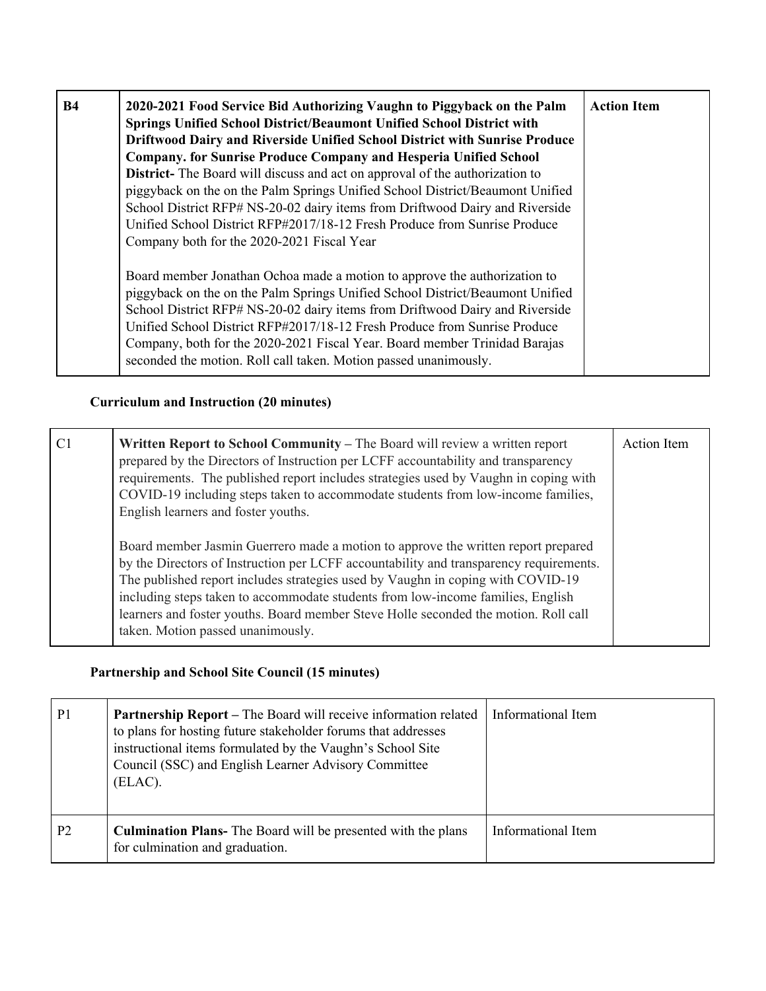| <b>B4</b> | 2020-2021 Food Service Bid Authorizing Vaughn to Piggyback on the Palm<br>Springs Unified School District/Beaumont Unified School District with<br>Driftwood Dairy and Riverside Unified School District with Sunrise Produce<br><b>Company. for Sunrise Produce Company and Hesperia Unified School</b><br>District- The Board will discuss and act on approval of the authorization to<br>piggyback on the on the Palm Springs Unified School District/Beaumont Unified<br>School District RFP# NS-20-02 dairy items from Driftwood Dairy and Riverside<br>Unified School District RFP#2017/18-12 Fresh Produce from Sunrise Produce<br>Company both for the 2020-2021 Fiscal Year | <b>Action Item</b> |
|-----------|--------------------------------------------------------------------------------------------------------------------------------------------------------------------------------------------------------------------------------------------------------------------------------------------------------------------------------------------------------------------------------------------------------------------------------------------------------------------------------------------------------------------------------------------------------------------------------------------------------------------------------------------------------------------------------------|--------------------|
|           | Board member Jonathan Ochoa made a motion to approve the authorization to<br>piggyback on the on the Palm Springs Unified School District/Beaumont Unified<br>School District RFP# NS-20-02 dairy items from Driftwood Dairy and Riverside<br>Unified School District RFP#2017/18-12 Fresh Produce from Sunrise Produce<br>Company, both for the 2020-2021 Fiscal Year. Board member Trinidad Barajas<br>seconded the motion. Roll call taken. Motion passed unanimously.                                                                                                                                                                                                            |                    |

# **Curriculum and Instruction (20 minutes)**

| C <sub>1</sub> | Written Report to School Community – The Board will review a written report<br>prepared by the Directors of Instruction per LCFF accountability and transparency<br>requirements. The published report includes strategies used by Vaughn in coping with<br>COVID-19 including steps taken to accommodate students from low-income families,<br>English learners and foster youths.                                                                                           | <b>Action</b> Item |
|----------------|-------------------------------------------------------------------------------------------------------------------------------------------------------------------------------------------------------------------------------------------------------------------------------------------------------------------------------------------------------------------------------------------------------------------------------------------------------------------------------|--------------------|
|                | Board member Jasmin Guerrero made a motion to approve the written report prepared<br>by the Directors of Instruction per LCFF accountability and transparency requirements.<br>The published report includes strategies used by Vaughn in coping with COVID-19<br>including steps taken to accommodate students from low-income families, English<br>learners and foster youths. Board member Steve Holle seconded the motion. Roll call<br>taken. Motion passed unanimously. |                    |

## **Partnership and School Site Council (15 minutes)**

| P <sub>1</sub> | Partnership Report - The Board will receive information related<br>to plans for hosting future stakeholder forums that addresses<br>instructional items formulated by the Vaughn's School Site<br>Council (SSC) and English Learner Advisory Committee<br>(ELAC). | Informational Item |
|----------------|-------------------------------------------------------------------------------------------------------------------------------------------------------------------------------------------------------------------------------------------------------------------|--------------------|
| P <sub>2</sub> | <b>Culmination Plans-</b> The Board will be presented with the plans<br>for culmination and graduation.                                                                                                                                                           | Informational Item |